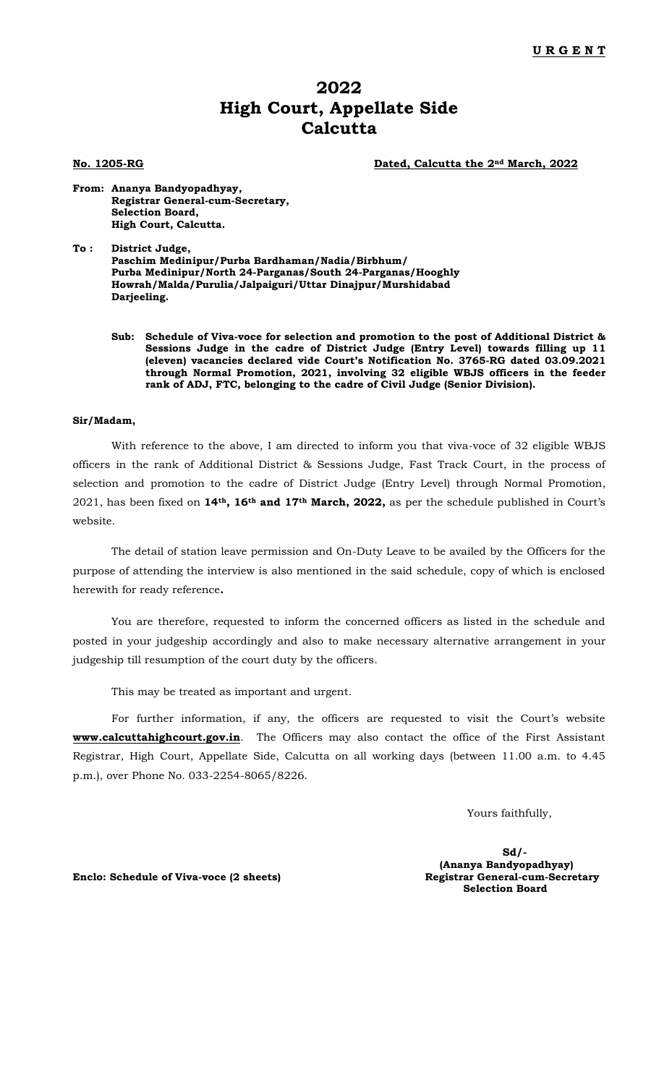## **2022 High Court, Appellate Side Calcutta**

**No. 1205-RG Dated, Calcutta the 2nd March, 2022**

**From: Ananya Bandyopadhyay, Registrar General-cum-Secretary, Selection Board, High Court, Calcutta.**

**To : District Judge, Paschim Medinipur/Purba Bardhaman/Nadia/Birbhum/ Purba Medinipur/North 24-Parganas/South 24-Parganas/Hooghly Howrah/Malda/Purulia/Jalpaiguri/Uttar Dinajpur/Murshidabad Darjeeling.**

**Sub: Schedule of Viva-voce for selection and promotion to the post of Additional District & Sessions Judge in the cadre of District Judge (Entry Level) towards filling up 11 (eleven) vacancies declared vide Court's Notification No. 3765-RG dated 03.09.2021 through Normal Promotion, 2021, involving 32 eligible WBJS officers in the feeder rank of ADJ, FTC, belonging to the cadre of Civil Judge (Senior Division).**

#### **Sir/Madam,**

With reference to the above, I am directed to inform you that viva-voce of 32 eligible WBJS officers in the rank of Additional District & Sessions Judge, Fast Track Court, in the process of selection and promotion to the cadre of District Judge (Entry Level) through Normal Promotion, 2021, has been fixed on **14th, 16th and 17th March, 2022,** as per the schedule published in Court's website.

The detail of station leave permission and On-Duty Leave to be availed by the Officers for the purpose of attending the interview is also mentioned in the said schedule, copy of which is enclosed herewith for ready reference**.**

You are therefore, requested to inform the concerned officers as listed in the schedule and posted in your judgeship accordingly and also to make necessary alternative arrangement in your judgeship till resumption of the court duty by the officers.

This may be treated as important and urgent.

For further information, if any, the officers are requested to visit the Court's website **[www.calcuttahighcourt.gov.in](http://www.calcuttahighcourt.nic.in/)**. The Officers may also contact the office of the First Assistant Registrar, High Court, Appellate Side, Calcutta on all working days (between 11.00 a.m. to 4.45 p.m.), over Phone No. 033-2254-8065/8226.

Yours faithfully,

**Sd/- (Ananya Bandyopadhyay) Selection Board**

**Enclo: Schedule of Viva-voce (2 sheets) Registrar General-cum-Secretary**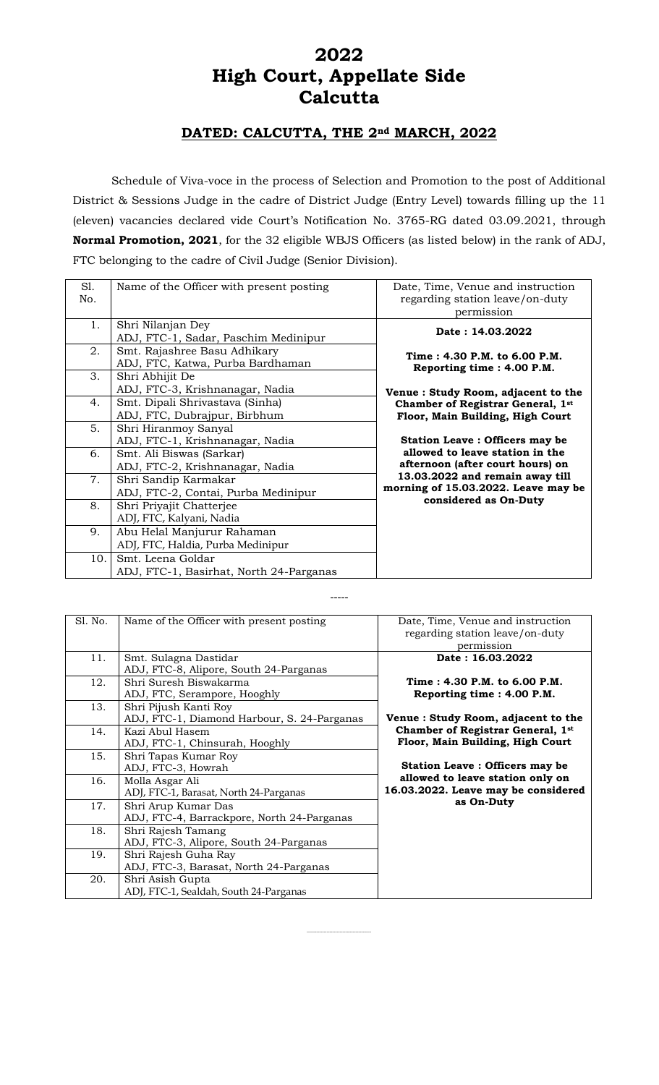# **2022 High Court, Appellate Side Calcutta**

## **DATED: CALCUTTA, THE 2nd MARCH, 2022**

Schedule of Viva-voce in the process of Selection and Promotion to the post of Additional District & Sessions Judge in the cadre of District Judge (Entry Level) towards filling up the 11 (eleven) vacancies declared vide Court's Notification No. 3765-RG dated 03.09.2021, through **Normal Promotion, 2021**, for the 32 eligible WBJS Officers (as listed below) in the rank of ADJ, FTC belonging to the cadre of Civil Judge (Senior Division).

| Sl. | Name of the Officer with present posting | Date, Time, Venue and instruction     |
|-----|------------------------------------------|---------------------------------------|
| No. |                                          | regarding station leave/on-duty       |
|     |                                          | permission                            |
| 1.  | Shri Nilanjan Dey                        | Date: 14.03.2022                      |
|     | ADJ, FTC-1, Sadar, Paschim Medinipur     |                                       |
| 2.  | Smt. Rajashree Basu Adhikary             | Time: 4.30 P.M. to 6.00 P.M.          |
|     | ADJ, FTC, Katwa, Purba Bardhaman         | Reporting time: 4.00 P.M.             |
| 3.  | Shri Abhijit De                          |                                       |
|     | ADJ, FTC-3, Krishnanagar, Nadia          | Venue: Study Room, adjacent to the    |
| 4.  | Smt. Dipali Shrivastava (Sinha)          | Chamber of Registrar General, 1st     |
|     | ADJ, FTC, Dubrajpur, Birbhum             | Floor, Main Building, High Court      |
| 5.  | Shri Hiranmoy Sanyal                     |                                       |
|     | ADJ, FTC-1, Krishnanagar, Nadia          | <b>Station Leave: Officers may be</b> |
| 6.  | Smt. Ali Biswas (Sarkar)                 | allowed to leave station in the       |
|     | ADJ, FTC-2, Krishnanagar, Nadia          | afternoon (after court hours) on      |
| 7.  | Shri Sandip Karmakar                     | 13.03.2022 and remain away till       |
|     | ADJ, FTC-2, Contai, Purba Medinipur      | morning of 15.03.2022. Leave may be   |
| 8.  | Shri Priyajit Chatterjee                 | considered as On-Duty                 |
|     | ADJ, FTC, Kalyani, Nadia                 |                                       |
| 9.  | Abu Helal Manjurur Rahaman               |                                       |
|     | ADJ, FTC, Haldia, Purba Medinipur        |                                       |
| 10. | Smt. Leena Goldar                        |                                       |
|     | ADJ, FTC-1, Basirhat, North 24-Parganas  |                                       |

| Sl. No. | Name of the Officer with present posting                             | Date, Time, Venue and instruction<br>regarding station leave/on-duty<br>permission |
|---------|----------------------------------------------------------------------|------------------------------------------------------------------------------------|
| 11.     | Smt. Sulagna Dastidar<br>ADJ, FTC-8, Alipore, South 24-Parganas      | Date: 16.03.2022                                                                   |
| 12.     | Shri Suresh Biswakarma<br>ADJ, FTC, Serampore, Hooghly               | Time: 4.30 P.M. to 6.00 P.M.<br>Reporting time : 4.00 P.M.                         |
| 13.     | Shri Pijush Kanti Rov<br>ADJ, FTC-1, Diamond Harbour, S. 24-Parganas | Venue : Study Room, adjacent to the                                                |
| 14.     | Kazi Abul Hasem<br>ADJ, FTC-1, Chinsurah, Hooghly                    | <b>Chamber of Registrar General, 1st</b><br>Floor, Main Building, High Court       |
| 15.     | Shri Tapas Kumar Roy<br>ADJ, FTC-3, Howrah                           | <b>Station Leave: Officers may be</b>                                              |
| 16.     | Molla Asgar Ali<br>ADJ, FTC-1, Barasat, North 24-Parganas            | allowed to leave station only on<br>16.03.2022. Leave may be considered            |
| 17.     | Shri Arup Kumar Das<br>ADJ, FTC-4, Barrackpore, North 24-Parganas    | as On-Duty                                                                         |
| 18.     | Shri Rajesh Tamang<br>ADJ, FTC-3, Alipore, South 24-Parganas         |                                                                                    |
| 19.     | Shri Rajesh Guha Ray<br>ADJ, FTC-3, Barasat, North 24-Parganas       |                                                                                    |
| 20.     | Shri Asish Gupta<br>ADJ, FTC-1, Sealdah, South 24-Parganas           |                                                                                    |

---------------------------------------------

-----